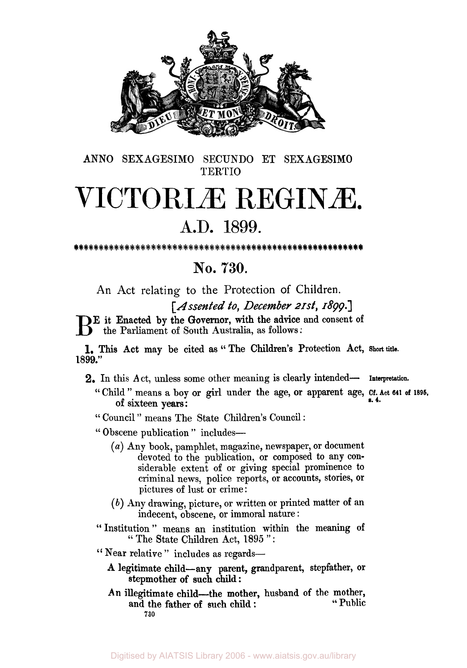

ANN0 SEXAGESIMO SECUNDO ET SEXAGESIMO **TERTIO** 

## VICTORIÆ REGINÆ.

## **A.D.** 1899.

## **No. 730.**

An Act relating to the Protection of Children.

*[Assented to, December 21st, 1899.]* 

**E** it Enacted by the Governor, with the advice and consent of the Parliament of South Australia, as follows:

1899." **1.** This Act may be cited as " The Children's Protection Act, **Short title.** 

- 2. In this Act, unless some other meaning is clearly intended- **Interpretation.** 
	- " Child " means a boy or girl under the age, or apparent age, **Cf. Act 641 of 1896,**  of sixteen years:<br>
	"Council" means The State Children's Council: of sixteen years:<br>of sixteen years:
	-
	- " Obscene publication " includes-
		- *(U)* Any book, pamphlet, magazine, newspaper, or document devoted to the publication, or composed to any considerable extent of or giving special prominence to criminal news, police reports, or accounts, stories, or pictures of lust or crime:
		- *(b)* Any drawing, picture, or written or printed matter of an indecent, obscene, or immoral nature :
	- " Institution " means an institution within the meaning of " The State Children Act, 1895":

"Near relative" includes as regards-

- stepmother of such child : **A** legitimate child-any parent, grandparent, stepfather, **or**
- and the father of such child : An illegitimate child—the mother, husband of the mother, " Public **730**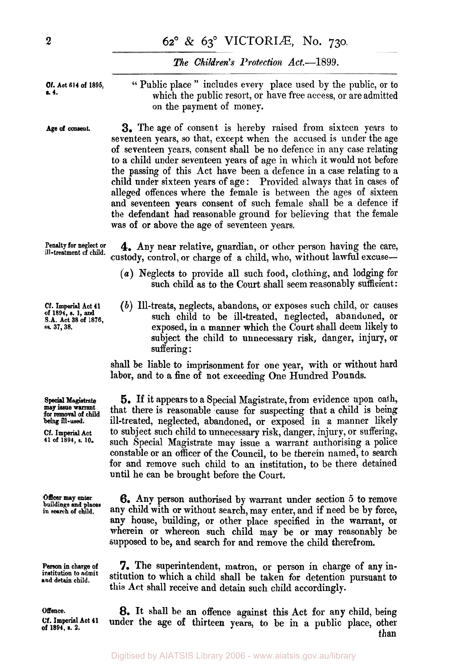## *The Children's Protection Act.-1* 899.

**Of. Act 614 of 1895, s. 4.** 

**Age of consent.** 

'' Public place " includes every place used by the public, or to which the public resort, or have free access, or are admitted on the payment of money.

**3.** The age of consent is hereby raised from sixteen years to seventeen years, so that, except when the accused is under the age of seventeen years, consent shall be no defence in any case relating to a child under seventeen years of age in which it would not before the passing of this Act have been a defence in a case relating to a child under sixteen years of age : Provided always that in cases of alleged offences where the female is between the ages of sixteen and seventeen years consent of such female shall be a defence if the defendant had reasonable ground for believing that the female was of or above the age of seventeen years.

**Penalty for neglect or ill-treatment of child. 4.** Any near relative, guardian, or other person having the care, custody, control, or charge of a child, **who,** without lawful excuse-

- *(a)* Neglects to provide all such food, clothing, and lodging for such child as to the Court shall seem reasonably sufficient:
- *(b)* Ill-treats, neglects, abandons, or exposes such child, or causes such child to be ill-treated, neglected, abandoned, or exposed, in a manner which the Court shall deem likely to subject the child to unnecessary risk, danger, injury, or suffering :

shall be liable to imprisonment for one year, with or without hard labor, and to a fine of not exceeding One Hundred Pounds.

**5.** If it appears to a Special Magistrate, from evidence upon oath, that there is reasonable cause for suspecting that a child is being ill-treated, neglected, abandoned, or exposed in a manner likely to subject such child to unnecessary risk, danger, injury, or suffering, such Special Magistrate may issue a warrant authorising a police constable **or** an officer of the Council, to be therein named, to search for and remove such child to an institution, to be there detained until he can be brought before the Court.

**6.** Any person authorised by warrant under section **5** to remove any child with or without search, may enter, and if need be by force, any house, building, or other place specified in the warrant, or wherein or whereon such child may be **or** may reasonably be supposed to be, and search for and remove the child therefrom.

**7.** The superintendent, matron, or person in charge of any institution to which a child shall be taken for detention pursuant to this Act shall receive and detain such child accordingly.

**8.** It shall be an offence against this Act **for** any child, being under the age **of** thirteen years, to be in **a** public place, other than

**of 1891, s. 1, and S.A. Act 38 of 1876, sa 37, 38.** 

**Cf.** Imperial **Act 41** 

**Special Magistrate may issue warrant for** removal **of child being ill-used.** 

**Cf. Imperial Act 41 of 1891, s. 10.** 

**Officer may** *enter*  **buildings and places in search of cluld.** 

**Person in charge of**  institution **to admit and detain child.** 

**Offence.** 

**Cf. Imperial Act 41 of 1894,** *s. 2.*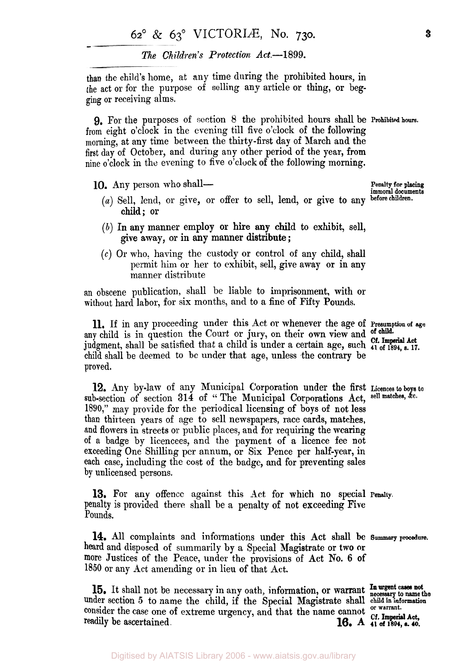*The Children's Protection* **Act-1899.** 

than the child's home, at any time during the prohibited hours, in the act or for the purpose of selling any article or thing, or beg**ging** or receiving alms.

**9.** For the purposes of section *8* the prohibited hours shall be **Prohibited hours.**  from eight o'clock in the evening till five o'clock of the following morning, at any time between the thirty-first day of March and the first day of October, and during any other period of the year, from nine o'clock in the evening to five o'clock of the following morning.

- **10.** Any person who shall-<br>
(a) Sell, lend, or give, or offer to sell, lend, or give to any before children. child; or
	- *(b)* In any manner employ or hire any child to exhibit, sell, give away, or in any manner distribute ;
	- **(c)** Or who: having the custody or control of any child, shall permit him or her to exhibit, sell, give away or in any manner distribute

an obscene publication, shall be liable to imprisonment, with or without hard labor, for six months, and to a fine of Fifty Pounds.

11. If in any proceeding under this Act or whenever the age of **Presumption of** *age*  any child is in question the Court or jury, on their own view and **of**  judgment, shall be satisfied that a child is under a certain age, such **41 of 1894,** *s. 17.*  **Cf. Imperial Act**  child shall be deemed to be under that age, unless the contrary be proved.

12, Any by-law of any Municipal Corporation under the first **Licences to boys to**  sub-section of section **314** of " The Municipal Corporations Act, **sell matches,**  1890," may provide for the periodical licensing **of** boys of not less than thirteen years of age to sell newspapers, race cards, matches, and flowers in streets or public places, and for requiring the wearing of a badge by licencees, and the payment of a licence fee not exceeding One Shilling per annum, or Six Pence per half-year, in each case, including the cost of the badge, and for preventing sales by unlicensed persons.

penalty is provided there shall be a penalty of not exceeding Five Pounds. 13, For any offence against this Act for which no special **Penalty.** 

14. All complaints and informations under this Act shall be **Summary procedure.**  heard and disposed of summarily by a Special Magistrate or two or more Justices of the Peace, under the provisions of Act **No. 6** of 1850 or any Act amending or in lieu of that Act.

**In urgent cases not 15.** It shall not be necessary in any oath, information, or warrant neceseary to **name the**  under section 5 to name the child, if the Special Magistrate shall child in information consider the case one of extreme urgency, and that the name cannot or warrant. readily be ascertained.<br> **16.** A **41** of 1894, s. 40.